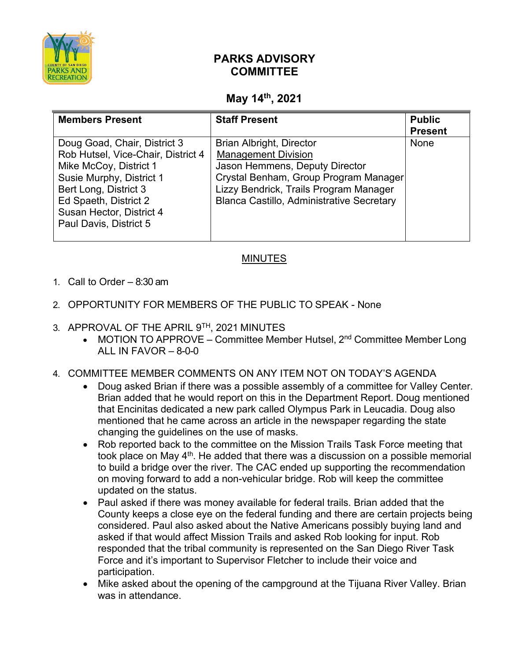

## **PARKS ADVISORY COMMITTEE**

## **May 14th, 2021**

| <b>Members Present</b>                                                                                                                                                                                                           | <b>Staff Present</b>                                                                                                                                                                                                            | <b>Public</b><br><b>Present</b> |
|----------------------------------------------------------------------------------------------------------------------------------------------------------------------------------------------------------------------------------|---------------------------------------------------------------------------------------------------------------------------------------------------------------------------------------------------------------------------------|---------------------------------|
| Doug Goad, Chair, District 3<br>Rob Hutsel, Vice-Chair, District 4<br>Mike McCoy, District 1<br>Susie Murphy, District 1<br>Bert Long, District 3<br>Ed Spaeth, District 2<br>Susan Hector, District 4<br>Paul Davis, District 5 | <b>Brian Albright, Director</b><br><b>Management Division</b><br>Jason Hemmens, Deputy Director<br>Crystal Benham, Group Program Manager<br>Lizzy Bendrick, Trails Program Manager<br>Blanca Castillo, Administrative Secretary | <b>None</b>                     |

## MINUTES

- 1. Call to Order 8:30 am
- 2. OPPORTUNITY FOR MEMBERS OF THE PUBLIC TO SPEAK None
- 3. APPROVAL OF THE APRIL 9TH, 2021 MINUTES
	- MOTION TO APPROVE Committee Member Hutsel,  $2^{nd}$  Committee Member Long ALL IN FAVOR  $-$  8-0-0
- 4. COMMITTEE MEMBER COMMENTS ON ANY ITEM NOT ON TODAY'S AGENDA
	- Doug asked Brian if there was a possible assembly of a committee for Valley Center. Brian added that he would report on this in the Department Report. Doug mentioned that Encinitas dedicated a new park called Olympus Park in Leucadia. Doug also mentioned that he came across an article in the newspaper regarding the state changing the guidelines on the use of masks.
	- Rob reported back to the committee on the Mission Trails Task Force meeting that took place on May  $4<sup>th</sup>$ . He added that there was a discussion on a possible memorial to build a bridge over the river. The CAC ended up supporting the recommendation on moving forward to add a non-vehicular bridge. Rob will keep the committee updated on the status.
	- Paul asked if there was money available for federal trails. Brian added that the County keeps a close eye on the federal funding and there are certain projects being considered. Paul also asked about the Native Americans possibly buying land and asked if that would affect Mission Trails and asked Rob looking for input. Rob responded that the tribal community is represented on the San Diego River Task Force and it's important to Supervisor Fletcher to include their voice and participation.
	- Mike asked about the opening of the campground at the Tijuana River Valley. Brian was in attendance.